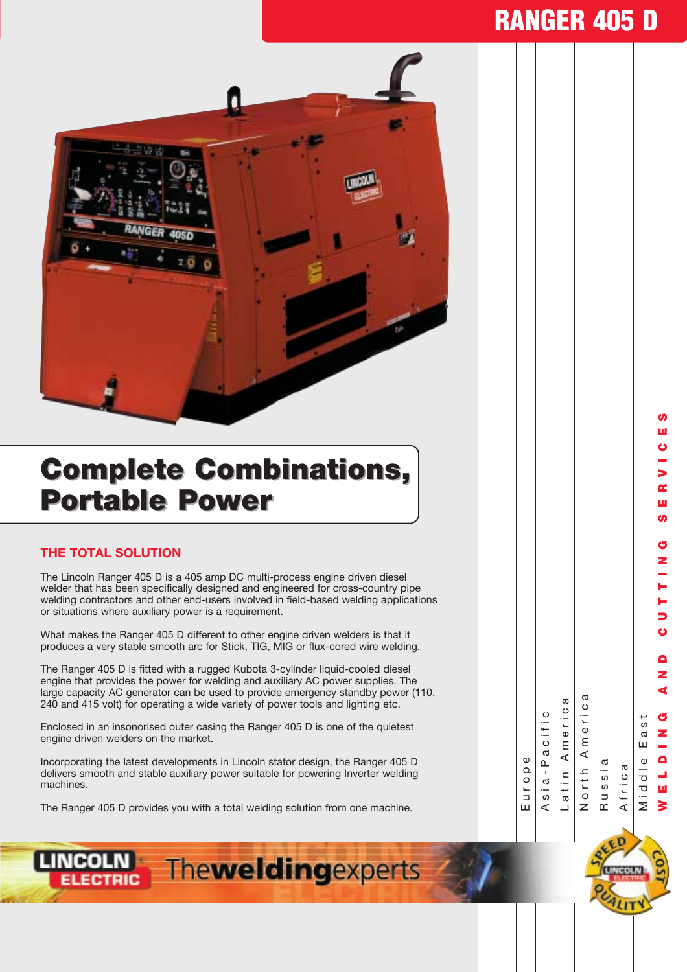# **RANGER 405 D**



# **Complete Combinations, Complete Combinations, Portable Power Portable Power**

#### **THE TOTAL SOLUTION**

The Lincoln Ranger 405 D is a 405 amp DC multi-process engine driven diesel welder that has been specifically designed and engineered for cross-country pipe welding contractors and other end-users involved in field-based welding applications or situations where auxiliary power is a requirement.

What makes the Ranger 405 D different to other engine driven welders is that it produces a very stable smooth arc for Stick, TIG, MIG or flux-cored wire welding.

The Ranger 405 D is fitted with a rugged Kubota 3-cylinder liquid-cooled diesel engine that provides the power for welding and auxiliary AC power supplies. The large capacity AC generator can be used to provide emergency standby power (110, 240 and 415 volt) for operating a wide variety of power tools and lighting etc.

Enclosed in an insonorised outer casing the Ranger 405 D is one of the quietest engine driven welders on the market.

Incorporating the latest developments in Lincoln stator design, the Ranger 405 D delivers smooth and stable auxiliary power suitable for powering Inverter welding machines.

The Ranger 405 D provides you with a total welding solution from one machine.

| Europe        |
|---------------|
| Asia-Pacific  |
| Latin America |
| North America |
| Russia        |
| Africa        |
| Middle East   |





**WELDING AND CUTTING SERVICES**

 $\blacksquare$ z ₫

ය z

 $\mathbf{a}$ L. ш ₹

н Б Ő

G Z

**S** ш

S  $\alpha$ ш ഗ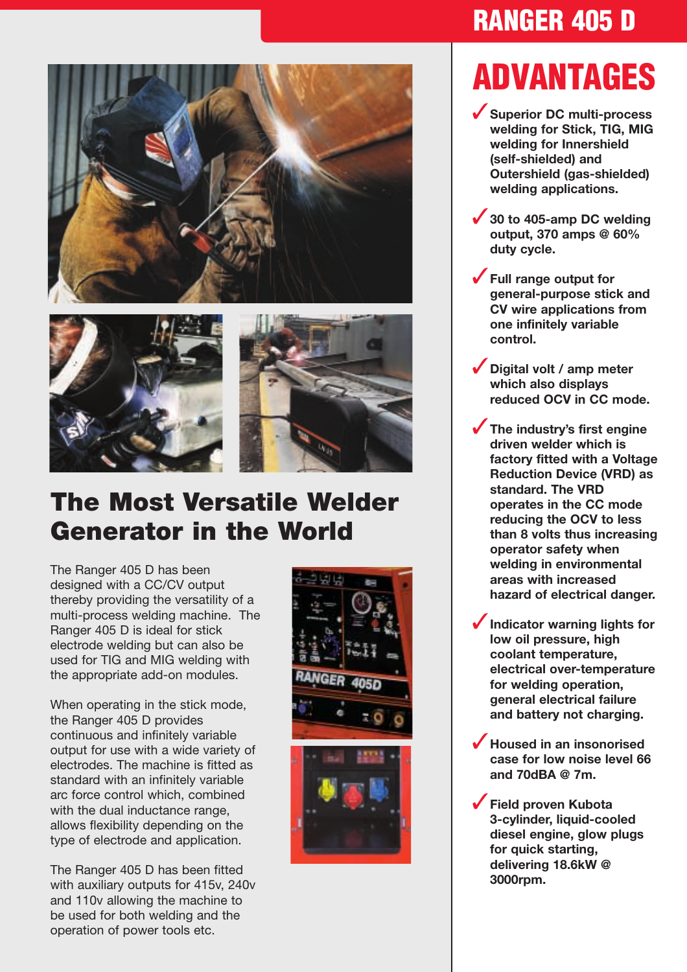



## **The Most Versatile Welder Generator in the World**

The Ranger 405 D has been designed with a CC/CV output thereby providing the versatility of a multi-process welding machine. The Ranger 405 D is ideal for stick electrode welding but can also be used for TIG and MIG welding with the appropriate add-on modules.

When operating in the stick mode, the Ranger 405 D provides continuous and infinitely variable output for use with a wide variety of electrodes. The machine is fitted as standard with an infinitely variable arc force control which, combined with the dual inductance range. allows flexibility depending on the type of electrode and application.

The Ranger 405 D has been fitted with auxiliary outputs for 415v, 240v and 110v allowing the machine to be used for both welding and the operation of power tools etc.



# **RANGER 405 D**

# **ADVANTAGES**

- ✓**Superior DC multi-process welding for Stick, TIG, MIG welding for Innershield (self-shielded) and Outershield (gas-shielded) welding applications.**
- ✓**30 to 405-amp DC welding output, 370 amps @ 60% duty cycle.**
- ✓**Full range output for general-purpose stick and CV wire applications from one infinitely variable control.**
- ✓**Digital volt / amp meter which also displays reduced OCV in CC mode.**
- ✓**The industry's first engine driven welder which is factory fitted with a Voltage Reduction Device (VRD) as standard. The VRD operates in the CC mode reducing the OCV to less than 8 volts thus increasing operator safety when welding in environmental areas with increased hazard of electrical danger.**
- ✓**Indicator warning lights for low oil pressure, high coolant temperature, electrical over-temperature for welding operation, general electrical failure and battery not charging.**
- ✓**Housed in an insonorised case for low noise level 66 and 70dBA @ 7m.**
- ✓**Field proven Kubota 3-cylinder, liquid-cooled diesel engine, glow plugs for quick starting, delivering 18.6kW @ 3000rpm.**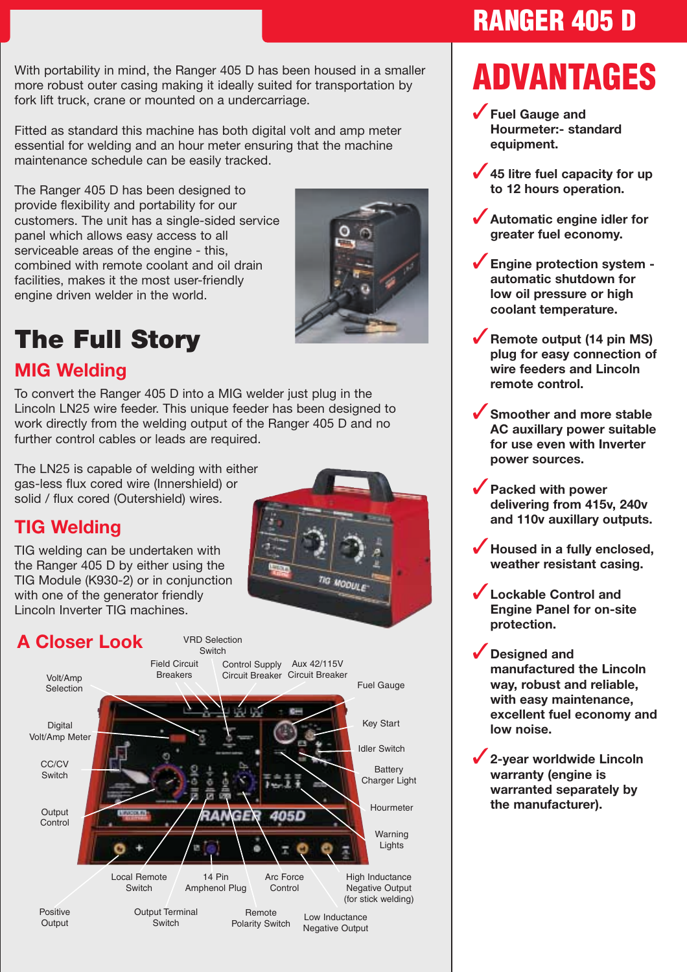With portability in mind, the Ranger 405 D has been housed in a smaller more robust outer casing making it ideally suited for transportation by **ADVANTAGES** fork lift truck, crane or mounted on a undercarriage.

Fitted as standard this machine has both digital volt and amp meter essential for welding and an hour meter ensuring that the machine maintenance schedule can be easily tracked.

The Ranger 405 D has been designed to provide flexibility and portability for our customers. The unit has a single-sided service panel which allows easy access to all serviceable areas of the engine - this. combined with remote coolant and oil drain facilities, makes it the most user-friendly engine driven welder in the world.



# **The Full Story**

### **MIG Welding**

To convert the Ranger 405 D into a MIG welder just plug in the Lincoln LN25 wire feeder. This unique feeder has been designed to work directly from the welding output of the Ranger 405 D and no further control cables or leads are required.

The LN25 is capable of welding with either gas-less flux cored wire (Innershield) or solid / flux cored (Outershield) wires.

### **TIG Welding**

TIG welding can be undertaken with the Ranger 405 D by either using the TIG Module (K930-2) or in conjunction with one of the generator friendly Lincoln Inverter TIG machines.



14 Pin Amphenol Plug Local Remote **Switch** 

Positive **Output** 

Output **Control** 

CC/CV Switch

Digital Volt/Amp Meter

Volt/Amp Selection

> Output Terminal Switch

Low Inductance Negative Output Remote Polarity Switch

Arc Force **Control** 

High Inductance Negative Output (for stick welding) **RANGER 405 D**

- ✓**Fuel Gauge and Hourmeter:- standard equipment.**
- ✓**45 litre fuel capacity for up to 12 hours operation.**
- ✓**Automatic engine idler for greater fuel economy.**
- ✓**Engine protection system automatic shutdown for low oil pressure or high coolant temperature.**
- ✓**Remote output (14 pin MS) plug for easy connection of wire feeders and Lincoln remote control.**
- Smoother and more stable **AC auxillary power suitable for use even with Inverter power sources.**
- ✓**Packed with power delivering from 415v, 240v and 110v auxillary outputs.**
- ✓**Housed in a fully enclosed, weather resistant casing.**
- ✓**Lockable Control and Engine Panel for on-site protection.**
- ✓**Designed and manufactured the Lincoln way, robust and reliable, with easy maintenance, excellent fuel economy and low noise.**

✓**2-year worldwide Lincoln warranty (engine is warranted separately by the manufacturer).**